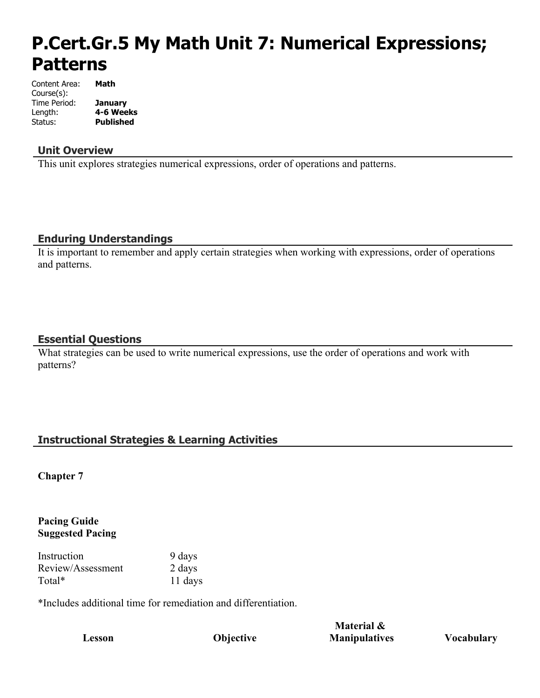# **P.Cert.Gr.5 My Math Unit 7: Numerical Expressions; Patterns**

| Content Area: | Math             |
|---------------|------------------|
| Course(s):    |                  |
| Time Period:  | January          |
| Length:       | 4-6 Weeks        |
| Status:       | <b>Published</b> |

#### **Unit Overview**

This unit explores strategies numerical expressions, order of operations and patterns.

#### **Enduring Understandings**

It is important to remember and apply certain strategies when working with expressions, order of operations and patterns.

#### **Essential Questions**

What strategies can be used to write numerical expressions, use the order of operations and work with patterns?

# **Instructional Strategies & Learning Activities**

**Chapter 7**

#### **Pacing Guide Suggested Pacing**

| Instruction       | 9 days  |
|-------------------|---------|
| Review/Assessment | 2 days  |
| Total*            | 11 days |

\*Includes additional time for remediation and differentiation.

**Lesson Objective**

**Material & Manipulatives Vocabulary**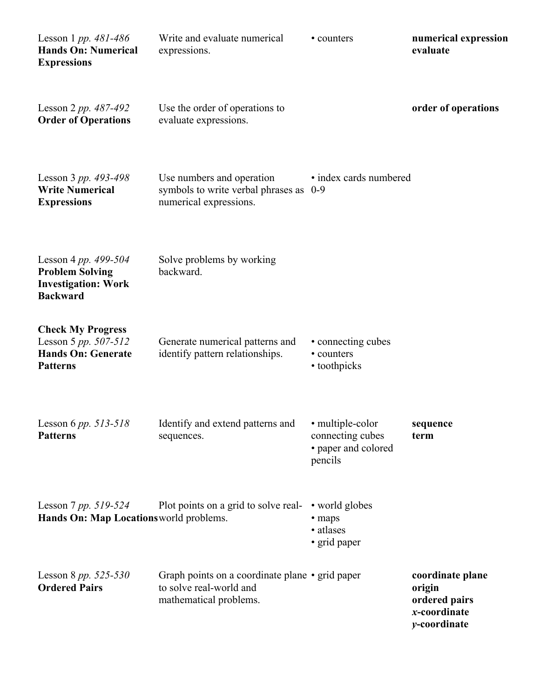| Lesson 1 pp. $481-486$<br><b>Hands On: Numerical</b><br><b>Expressions</b>                       | Write and evaluate numerical<br>expressions.                                                         | • counters                                                             | numerical expression<br>evaluate                                            |
|--------------------------------------------------------------------------------------------------|------------------------------------------------------------------------------------------------------|------------------------------------------------------------------------|-----------------------------------------------------------------------------|
| Lesson 2 pp. $487-492$<br><b>Order of Operations</b>                                             | Use the order of operations to<br>evaluate expressions.                                              |                                                                        | order of operations                                                         |
| Lesson 3 pp. 493-498<br><b>Write Numerical</b><br><b>Expressions</b>                             | Use numbers and operation<br>symbols to write verbal phrases as 0-9<br>numerical expressions.        | • index cards numbered                                                 |                                                                             |
| Lesson 4 pp. 499-504<br><b>Problem Solving</b><br><b>Investigation: Work</b><br><b>Backward</b>  | Solve problems by working<br>backward.                                                               |                                                                        |                                                                             |
| <b>Check My Progress</b><br>Lesson 5 pp. 507-512<br><b>Hands On: Generate</b><br><b>Patterns</b> | Generate numerical patterns and<br>identify pattern relationships.                                   | • connecting cubes<br>• counters<br>• toothpicks                       |                                                                             |
| Lesson 6 <i>pp.</i> $513 - 518$<br><b>Patterns</b>                                               | Identify and extend patterns and<br>sequences.                                                       | • multiple-color<br>connecting cubes<br>• paper and colored<br>pencils | sequence<br>term                                                            |
| Lesson 7 pp. $519-524$<br>Hands On: Map Locations world problems.                                | Plot points on a grid to solve real- • world globes                                                  | • maps<br>• atlases<br>• grid paper                                    |                                                                             |
| Lesson 8 pp. 525-530<br><b>Ordered Pairs</b>                                                     | Graph points on a coordinate plane • grid paper<br>to solve real-world and<br>mathematical problems. |                                                                        | coordinate plane<br>origin<br>ordered pairs<br>x-coordinate<br>y-coordinate |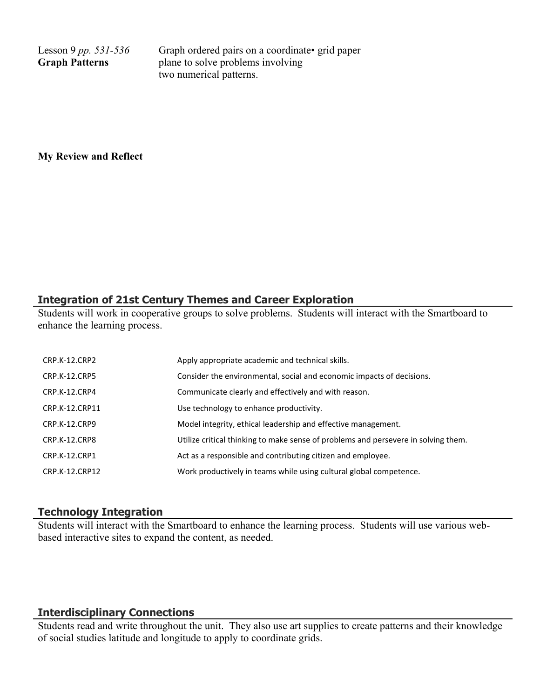Lesson 9 *pp. 531-536* **Graph Patterns**

Graph ordered pairs on a coordinate of grid paper plane to solve problems involving two numerical patterns.

**My Review and Reflect**

#### **Integration of 21st Century Themes and Career Exploration**

Students will work in cooperative groups to solve problems. Students will interact with the Smartboard to enhance the learning process.

| CRP.K-12.CRP2        | Apply appropriate academic and technical skills.                                   |
|----------------------|------------------------------------------------------------------------------------|
| <b>CRP.K-12.CRP5</b> | Consider the environmental, social and economic impacts of decisions.              |
| CRP.K-12.CRP4        | Communicate clearly and effectively and with reason.                               |
| CRP.K-12.CRP11       | Use technology to enhance productivity.                                            |
| CRP.K-12.CRP9        | Model integrity, ethical leadership and effective management.                      |
| CRP.K-12.CRP8        | Utilize critical thinking to make sense of problems and persevere in solving them. |
| <b>CRP.K-12.CRP1</b> | Act as a responsible and contributing citizen and employee.                        |
| CRP.K-12.CRP12       | Work productively in teams while using cultural global competence.                 |

#### **Technology Integration**

Students will interact with the Smartboard to enhance the learning process. Students will use various webbased interactive sites to expand the content, as needed.

#### **Interdisciplinary Connections**

Students read and write throughout the unit. They also use art supplies to create patterns and their knowledge of social studies latitude and longitude to apply to coordinate grids.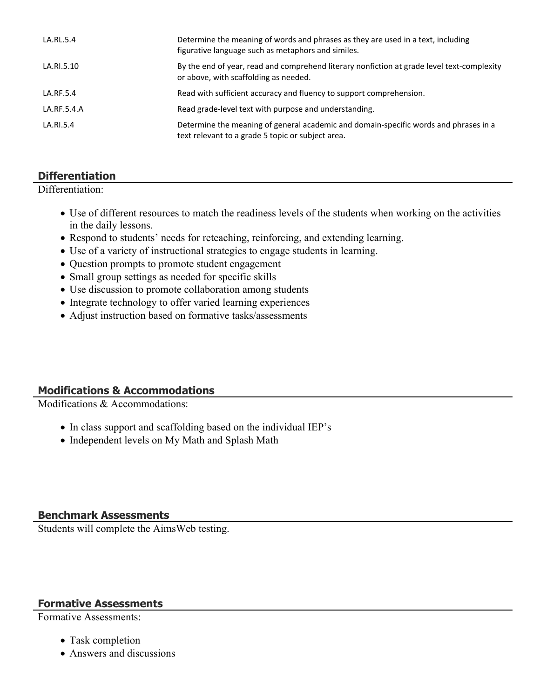| LA.RL.5.4   | Determine the meaning of words and phrases as they are used in a text, including<br>figurative language such as metaphors and similes.    |
|-------------|-------------------------------------------------------------------------------------------------------------------------------------------|
| LA.RI.5.10  | By the end of year, read and comprehend literary nonfiction at grade level text-complexity<br>or above, with scaffolding as needed.       |
| LA.RF.5.4   | Read with sufficient accuracy and fluency to support comprehension.                                                                       |
| LA.RF.5.4.A | Read grade-level text with purpose and understanding.                                                                                     |
| LA.RI.5.4   | Determine the meaning of general academic and domain-specific words and phrases in a<br>text relevant to a grade 5 topic or subject area. |

# **Differentiation**

Differentiation:

- Use of different resources to match the readiness levels of the students when working on the activities in the daily lessons.
- Respond to students' needs for reteaching, reinforcing, and extending learning.
- Use of a variety of instructional strategies to engage students in learning.
- Question prompts to promote student engagement
- Small group settings as needed for specific skills
- Use discussion to promote collaboration among students
- Integrate technology to offer varied learning experiences
- Adjust instruction based on formative tasks/assessments

# **Modifications & Accommodations**

Modifications & Accommodations:

- In class support and scaffolding based on the individual IEP's
- Independent levels on My Math and Splash Math

#### **Benchmark Assessments**

Students will complete the AimsWeb testing.

#### **Formative Assessments**

Formative Assessments:

- Task completion
- Answers and discussions